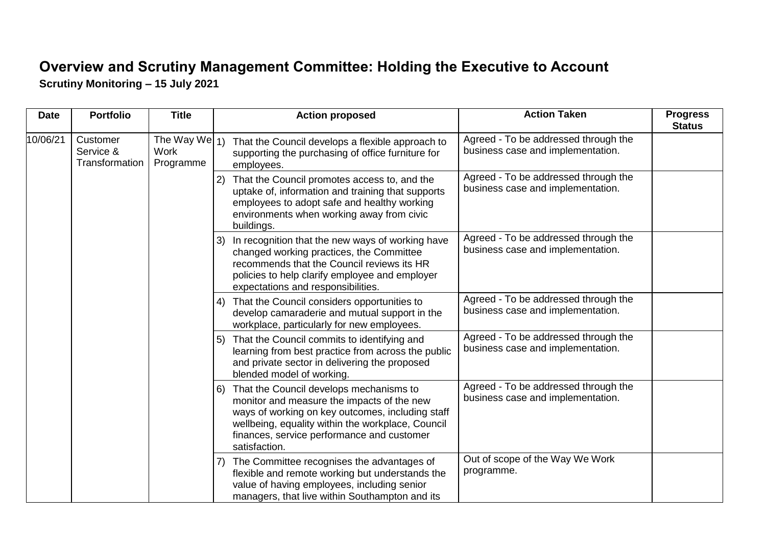## **Overview and Scrutiny Management Committee: Holding the Executive to Account Scrutiny Monitoring – 15 July 2021**

| <b>Date</b> | <b>Portfolio</b>                        | <b>Title</b>                           |    | <b>Action proposed</b>                                                                                                                                                                                                                                        | <b>Action Taken</b>                                                       | <b>Progress</b><br><b>Status</b> |
|-------------|-----------------------------------------|----------------------------------------|----|---------------------------------------------------------------------------------------------------------------------------------------------------------------------------------------------------------------------------------------------------------------|---------------------------------------------------------------------------|----------------------------------|
| 10/06/21    | Customer<br>Service &<br>Transformation | The Way We $_1$ )<br>Work<br>Programme |    | That the Council develops a flexible approach to<br>supporting the purchasing of office furniture for<br>employees.                                                                                                                                           | Agreed - To be addressed through the<br>business case and implementation. |                                  |
|             |                                         |                                        | 2) | That the Council promotes access to, and the<br>uptake of, information and training that supports<br>employees to adopt safe and healthy working<br>environments when working away from civic<br>buildings.                                                   | Agreed - To be addressed through the<br>business case and implementation. |                                  |
|             |                                         |                                        | 3) | In recognition that the new ways of working have<br>changed working practices, the Committee<br>recommends that the Council reviews its HR<br>policies to help clarify employee and employer<br>expectations and responsibilities.                            | Agreed - To be addressed through the<br>business case and implementation. |                                  |
|             |                                         |                                        | 4) | That the Council considers opportunities to<br>develop camaraderie and mutual support in the<br>workplace, particularly for new employees.                                                                                                                    | Agreed - To be addressed through the<br>business case and implementation. |                                  |
|             |                                         |                                        | 5) | That the Council commits to identifying and<br>learning from best practice from across the public<br>and private sector in delivering the proposed<br>blended model of working.                                                                               | Agreed - To be addressed through the<br>business case and implementation. |                                  |
|             |                                         |                                        | 6) | That the Council develops mechanisms to<br>monitor and measure the impacts of the new<br>ways of working on key outcomes, including staff<br>wellbeing, equality within the workplace, Council<br>finances, service performance and customer<br>satisfaction. | Agreed - To be addressed through the<br>business case and implementation. |                                  |
|             |                                         |                                        | 7) | The Committee recognises the advantages of<br>flexible and remote working but understands the<br>value of having employees, including senior<br>managers, that live within Southampton and its                                                                | Out of scope of the Way We Work<br>programme.                             |                                  |